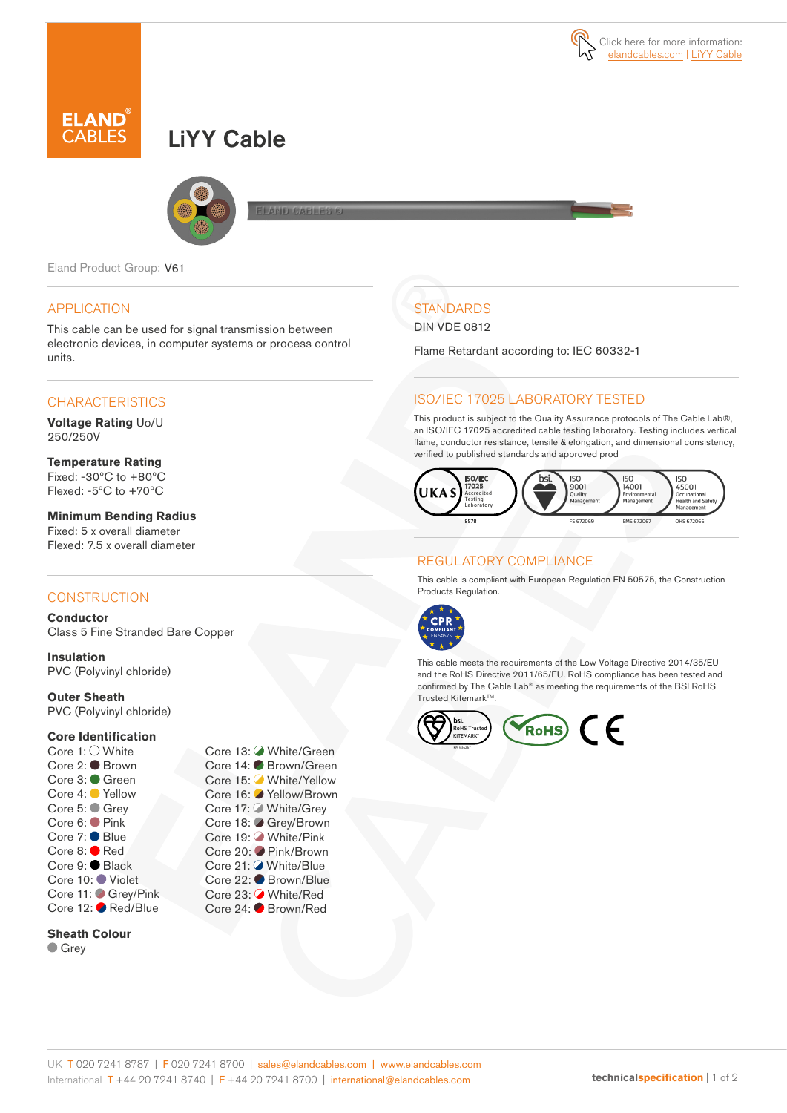

# LiYY Cable



Eland Product Group: V61

#### APPLICATION

This cable can be used for signal transmission between electronic devices, in computer systems or process control units.

### **CHARACTERISTICS**

**Voltage Rating** Uo/U 250/250V

**Temperature Rating** Fixed: -30ºC to +80ºC Flexed: -5ºC to +70ºC

**Minimum Bending Radius**  Fixed: 5 x overall diameter Flexed: 7.5 x overall diameter

#### **CONSTRUCTION**

**Conductor** Class 5 Fine Stranded Bare Copper

**Insulation** PVC (Polyvinyl chloride)

**Outer Sheath**

PVC (Polyvinyl chloride)

#### **Core Identification**

Core 1: White Core 2: ● Brown Core 3: Green Core 4: Yellow Core 5: ● Grey Core 6: Pink Core 7: ● Blue Core 8: **Red** Core 9: Black Core 10: Violet Core 11: Grey/Pink Core 12: Red/Blue

**Sheath Colour Grey** 



# **STANDARDS**

DIN VDE 0812

Flame Retardant according to: IEC 60332-1

### ISO/IEC 17025 LABORATORY TESTED

This product is subject to the Quality Assurance protocols of The Cable Lab®, an ISO/IEC 17025 accredited cable testing laboratory. Testing includes vertical flame, conductor resistance, tensile & elongation, and dimensional consistency, verified to published standards and approved prod



# REGULATORY COMPLIANCE

This cable is compliant with European Regulation EN 50575, the Construction Products Regulation.



This cable meets the requirements of the Low Voltage Directive 2014/35/EU and the RoHS Directive 2011/65/EU. RoHS compliance has been tested and confirmed by The Cable Lab® as meeting the requirements of the BSI RoHS Trusted Kitemark™.